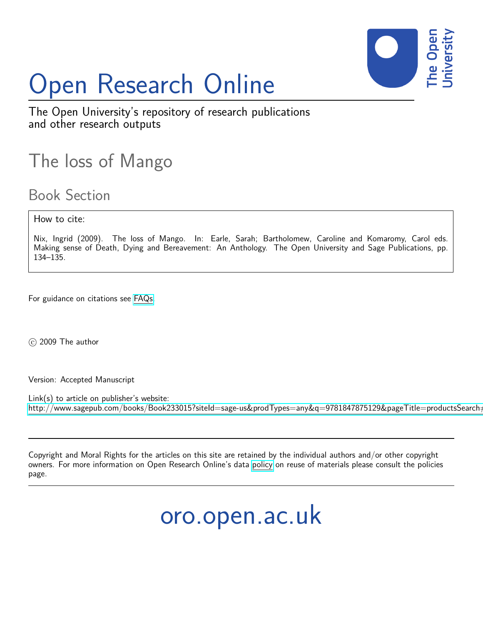

# Open Research Online

The Open University's repository of research publications and other research outputs

### The loss of Mango

### Book Section

How to cite:

Nix, Ingrid (2009). The loss of Mango. In: Earle, Sarah; Bartholomew, Caroline and Komaromy, Carol eds. Making sense of Death, Dying and Bereavement: An Anthology. The Open University and Sage Publications, pp. 134–135.

For guidance on citations see [FAQs.](http://oro.open.ac.uk/help/helpfaq.html)

 $(c)$  2009 The author

Version: Accepted Manuscript

Link(s) to article on publisher's website: http://www.sagepub.com/books/Book233015?siteId=sage-us&prodTypes=any&q=9781847875129&pageTitle=productsSearch=

Copyright and Moral Rights for the articles on this site are retained by the individual authors and/or other copyright owners. For more information on Open Research Online's data [policy](http://oro.open.ac.uk/policies.html) on reuse of materials please consult the policies page.

## oro.open.ac.uk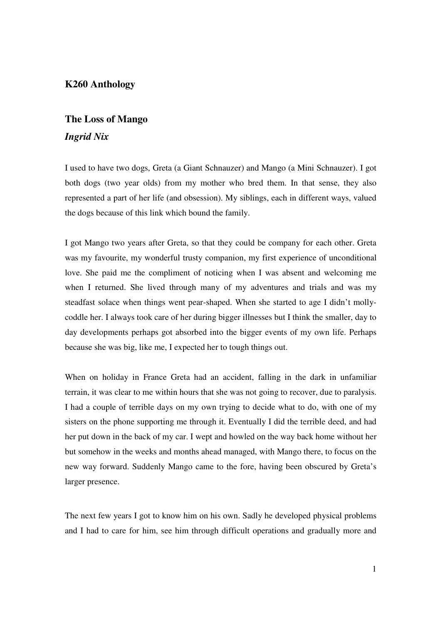#### **K260 Anthology**

### **The Loss of Mango**  *Ingrid Nix*

I used to have two dogs, Greta (a Giant Schnauzer) and Mango (a Mini Schnauzer). I got both dogs (two year olds) from my mother who bred them. In that sense, they also represented a part of her life (and obsession). My siblings, each in different ways, valued the dogs because of this link which bound the family.

I got Mango two years after Greta, so that they could be company for each other. Greta was my favourite, my wonderful trusty companion, my first experience of unconditional love. She paid me the compliment of noticing when I was absent and welcoming me when I returned. She lived through many of my adventures and trials and was my steadfast solace when things went pear-shaped. When she started to age I didn't mollycoddle her. I always took care of her during bigger illnesses but I think the smaller, day to day developments perhaps got absorbed into the bigger events of my own life. Perhaps because she was big, like me, I expected her to tough things out.

When on holiday in France Greta had an accident, falling in the dark in unfamiliar terrain, it was clear to me within hours that she was not going to recover, due to paralysis. I had a couple of terrible days on my own trying to decide what to do, with one of my sisters on the phone supporting me through it. Eventually I did the terrible deed, and had her put down in the back of my car. I wept and howled on the way back home without her but somehow in the weeks and months ahead managed, with Mango there, to focus on the new way forward. Suddenly Mango came to the fore, having been obscured by Greta's larger presence.

The next few years I got to know him on his own. Sadly he developed physical problems and I had to care for him, see him through difficult operations and gradually more and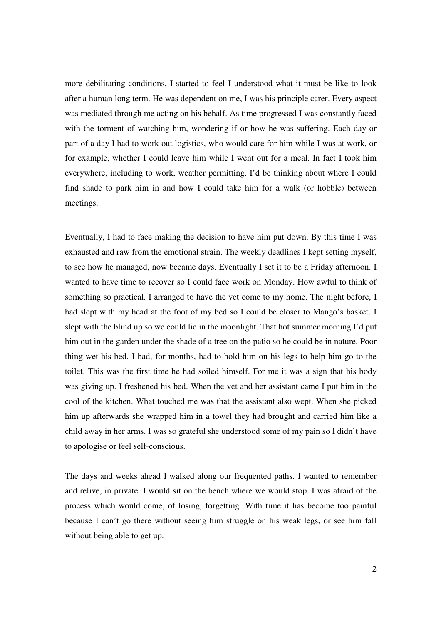more debilitating conditions. I started to feel I understood what it must be like to look after a human long term. He was dependent on me, I was his principle carer. Every aspect was mediated through me acting on his behalf. As time progressed I was constantly faced with the torment of watching him, wondering if or how he was suffering. Each day or part of a day I had to work out logistics, who would care for him while I was at work, or for example, whether I could leave him while I went out for a meal. In fact I took him everywhere, including to work, weather permitting. I'd be thinking about where I could find shade to park him in and how I could take him for a walk (or hobble) between meetings.

Eventually, I had to face making the decision to have him put down. By this time I was exhausted and raw from the emotional strain. The weekly deadlines I kept setting myself, to see how he managed, now became days. Eventually I set it to be a Friday afternoon. I wanted to have time to recover so I could face work on Monday. How awful to think of something so practical. I arranged to have the vet come to my home. The night before, I had slept with my head at the foot of my bed so I could be closer to Mango's basket. I slept with the blind up so we could lie in the moonlight. That hot summer morning I'd put him out in the garden under the shade of a tree on the patio so he could be in nature. Poor thing wet his bed. I had, for months, had to hold him on his legs to help him go to the toilet. This was the first time he had soiled himself. For me it was a sign that his body was giving up. I freshened his bed. When the vet and her assistant came I put him in the cool of the kitchen. What touched me was that the assistant also wept. When she picked him up afterwards she wrapped him in a towel they had brought and carried him like a child away in her arms. I was so grateful she understood some of my pain so I didn't have to apologise or feel self-conscious.

The days and weeks ahead I walked along our frequented paths. I wanted to remember and relive, in private. I would sit on the bench where we would stop. I was afraid of the process which would come, of losing, forgetting. With time it has become too painful because I can't go there without seeing him struggle on his weak legs, or see him fall without being able to get up.